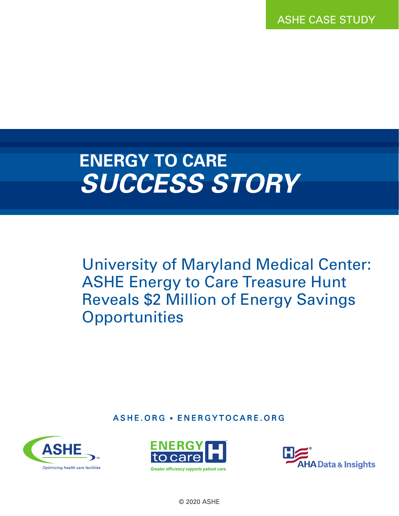ASHE CASE STUDY

## **ENERGY TO CARE** *SUCCESS STORY*

University of Maryland Medical Center: ASHE Energy to Care Treasure Hunt Reveals \$2 Million of Energy Savings **Opportunities** 

ASHE.ORG • ENERGYTOCARE.ORG







© 2020 ASHE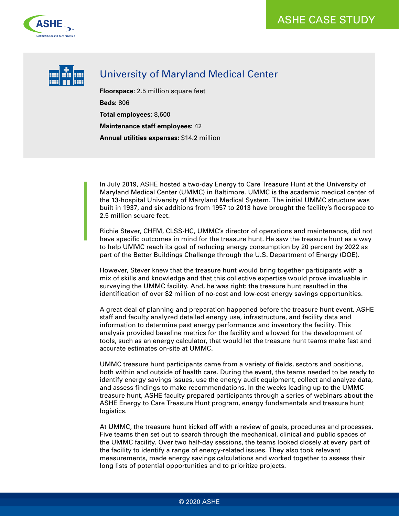



## University of Maryland Medical Center

**Floorspace:** 2.5 million square feet **Beds:** 806 **Total employees:** 8,600 **Maintenance staff employees:** 42 **Annual utilities expenses:** \$14.2 million

In July 2019, ASHE hosted a two-day Energy to Care Treasure Hunt at the University of Maryland Medical Center (UMMC) in Baltimore. UMMC is the academic medical center of the 13-hospital University of Maryland Medical System. The initial UMMC structure was built in 1937, and six additions from 1957 to 2013 have brought the facility's floorspace to 2.5 million square feet.

Richie Stever, CHFM, CLSS-HC, UMMC's director of operations and maintenance, did not have specific outcomes in mind for the treasure hunt. He saw the treasure hunt as a way to help UMMC reach its goal of reducing energy consumption by 20 percent by 2022 as part of the Better Buildings Challenge through the U.S. Department of Energy (DOE).

However, Stever knew that the treasure hunt would bring together participants with a mix of skills and knowledge and that this collective expertise would prove invaluable in surveying the UMMC facility. And, he was right: the treasure hunt resulted in the identification of over \$2 million of no-cost and low-cost energy savings opportunities.

A great deal of planning and preparation happened before the treasure hunt event. ASHE staff and faculty analyzed detailed energy use, infrastructure, and facility data and information to determine past energy performance and inventory the facility. This analysis provided baseline metrics for the facility and allowed for the development of tools, such as an energy calculator, that would let the treasure hunt teams make fast and accurate estimates on-site at UMMC.

UMMC treasure hunt participants came from a variety of fields, sectors and positions, both within and outside of health care. During the event, the teams needed to be ready to identify energy savings issues, use the energy audit equipment, collect and analyze data, and assess findings to make recommendations. In the weeks leading up to the UMMC treasure hunt, ASHE faculty prepared participants through a series of webinars about the ASHE Energy to Care Treasure Hunt program, energy fundamentals and treasure hunt logistics.

At UMMC, the treasure hunt kicked off with a review of goals, procedures and processes. Five teams then set out to search through the mechanical, clinical and public spaces of the UMMC facility. Over two half-day sessions, the teams looked closely at every part of the facility to identify a range of energy-related issues. They also took relevant measurements, made energy savings calculations and worked together to assess their long lists of potential opportunities and to prioritize projects.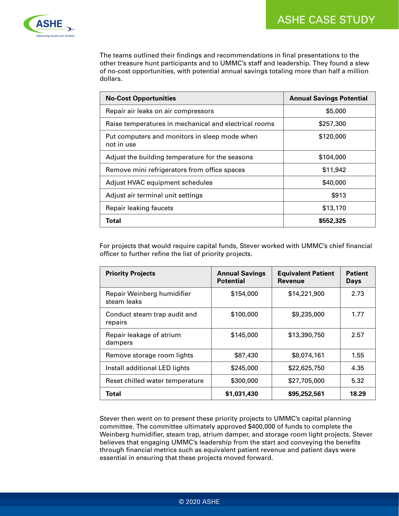

The teams outlined their findings and recommendations in final presentations to the other treasure hunt participants and to UMMC's staff and leadership. They found a slew of no-cost opportunities, with potential annual savings totaling more than half a million dollars.

| <b>No-Cost Opportunities</b>                                | <b>Annual Savings Potential</b> |  |
|-------------------------------------------------------------|---------------------------------|--|
| Repair air leaks on air compressors                         | \$5,000                         |  |
| Raise temperatures in mechanical and electrical rooms       | \$257,300                       |  |
| Put computers and monitors in sleep mode when<br>not in use | \$120,000                       |  |
| Adjust the building temperature for the seasons             | \$104,000                       |  |
| Remove mini refrigerators from office spaces                | \$11,942                        |  |
| Adjust HVAC equipment schedules                             | \$40,000                        |  |
| Adjust air terminal unit settings                           | \$913                           |  |
| Repair leaking faucets                                      | \$13,170                        |  |
| Total                                                       | \$552,325                       |  |

For projects that would require capital funds, Stever worked with UMMC's chief financial officer to further refine the list of priority projects.

| <b>Priority Projects</b>                  | <b>Annual Savings</b><br><b>Potential</b> | <b>Equivalent Patient</b><br><b>Revenue</b> | <b>Patient</b><br><b>Days</b> |
|-------------------------------------------|-------------------------------------------|---------------------------------------------|-------------------------------|
| Repair Weinberg humidifier<br>steam leaks | \$154,000                                 | \$14,221,900                                | 2.73                          |
| Conduct steam trap audit and<br>repairs   | \$100,000                                 | \$9,235,000                                 | 1.77                          |
| Repair leakage of atrium<br>dampers       | \$145,000                                 | \$13,390,750                                | 2.57                          |
| Remove storage room lights                | \$87,430                                  | \$8,074,161                                 | 1.55                          |
| Install additional LED lights             | \$245,000                                 | \$22,625,750                                | 4.35                          |
| Reset chilled water temperature           | \$300,000                                 | \$27,705,000                                | 5.32                          |
| Total                                     | \$1,031,430                               | \$95,252,561                                | 18.29                         |

Stever then went on to present these priority projects to UMMC's capital planning committee. The committee ultimately approved \$400,000 of funds to complete the Weinberg humidifier, steam trap, atrium damper, and storage room light projects. Stever believes that engaging UMMC's leadership from the start and conveying the benefits through financial metrics such as equivalent patient revenue and patient days were essential in ensuring that these projects moved forward.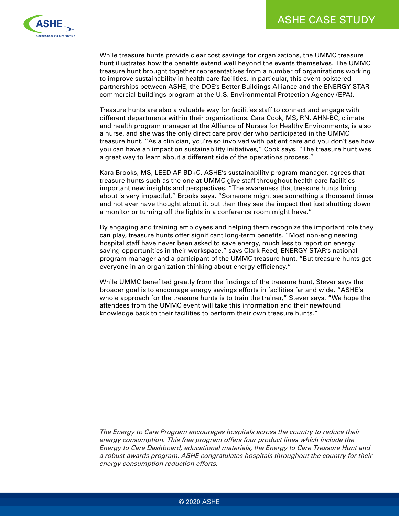

While treasure hunts provide clear cost savings for organizations, the UMMC treasure hunt illustrates how the benefits extend well beyond the events themselves. The UMMC treasure hunt brought together representatives from a number of organizations working to improve sustainability in health care facilities. In particular, this event bolstered partnerships between ASHE, the DOE's Better Buildings Alliance and the ENERGY STAR commercial buildings program at the U.S. Environmental Protection Agency (EPA).

Treasure hunts are also a valuable way for facilities staff to connect and engage with different departments within their organizations. Cara Cook, MS, RN, AHN-BC, climate and health program manager at the Alliance of Nurses for Healthy Environments, is also a nurse, and she was the only direct care provider who participated in the UMMC treasure hunt. "As a clinician, you're so involved with patient care and you don't see how you can have an impact on sustainability initiatives," Cook says. "The treasure hunt was a great way to learn about a different side of the operations process."

Kara Brooks, MS, LEED AP BD+C, ASHE's sustainability program manager, agrees that treasure hunts such as the one at UMMC give staff throughout health care facilities important new insights and perspectives. "The awareness that treasure hunts bring about is very impactful," Brooks says. "Someone might see something a thousand times and not ever have thought about it, but then they see the impact that just shutting down a monitor or turning off the lights in a conference room might have."

By engaging and training employees and helping them recognize the important role they can play, treasure hunts offer significant long-term benefits. "Most non-engineering hospital staff have never been asked to save energy, much less to report on energy saving opportunities in their workspace," says Clark Reed, ENERGY STAR's national program manager and a participant of the UMMC treasure hunt. "But treasure hunts get everyone in an organization thinking about energy efficiency."

While UMMC benefited greatly from the findings of the treasure hunt, Stever says the broader goal is to encourage energy savings efforts in facilities far and wide. "ASHE's whole approach for the treasure hunts is to train the trainer," Stever says. "We hope the attendees from the UMMC event will take this information and their newfound knowledge back to their facilities to perform their own treasure hunts."

The Energy to Care Program encourages hospitals across the country to reduce their energy consumption. This free program offers four product lines which include the Energy to Care Dashboard, educational materials, the Energy to Care Treasure Hunt and a robust awards program. ASHE congratulates hospitals throughout the country for their energy consumption reduction efforts.